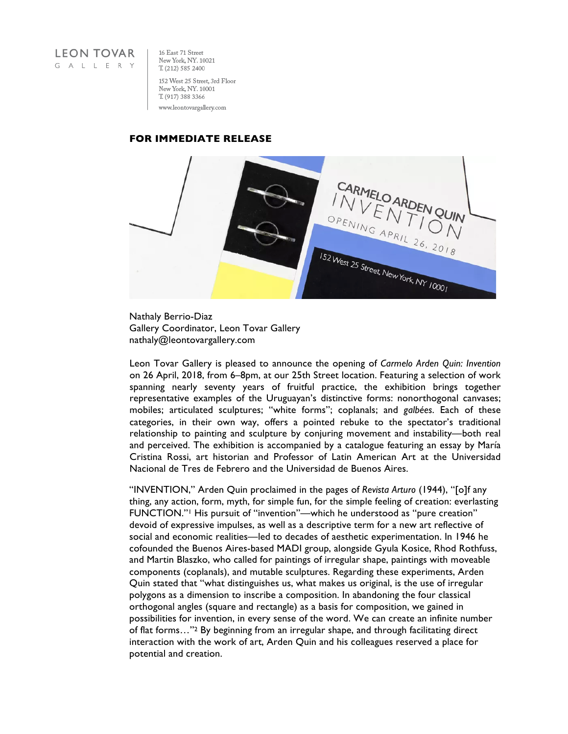

16 East 71 Street New York, NY. 10021 T. (212) 585 2400 152 West 25 Street, 3rd Floor New York, NY. 10001 T. (917) 388 3366 www.leontovargallery.com

## **FOR IMMEDIATE RELEASE**



Nathaly Berrio-Diaz Gallery Coordinator, Leon Tovar Gallery nathaly@leontovargallery.com

Leon Tovar Gallery is pleased to announce the opening of *Carmelo Arden Quin: Invention* on 26 April, 2018, from 6–8pm, at our 25th Street location. Featuring a selection of work spanning nearly seventy years of fruitful practice, the exhibition brings together representative examples of the Uruguayan's distinctive forms: nonorthogonal canvases; mobiles; articulated sculptures; "white forms"; coplanals; and *galbées*. Each of these categories, in their own way, offers a pointed rebuke to the spectator's traditional relationship to painting and sculpture by conjuring movement and instability—both real and perceived. The exhibition is accompanied by a catalogue featuring an essay by María Cristina Rossi, art historian and Professor of Latin American Art at the Universidad Nacional de Tres de Febrero and the Universidad de Buenos Aires.

"INVENTION," Arden Quin proclaimed in the pages of *Revista Arturo* (1944), "[o]f any thing, any action, form, myth, for simple fun, for the simple feeling of creation: everlasting FUNCTION."1 His pursuit of "invention"—which he understood as "pure creation" devoid of expressive impulses, as well as a descriptive term for a new art reflective of social and economic realities—led to decades of aesthetic experimentation. In 1946 he cofounded the Buenos Aires-based MADI group, alongside Gyula Kosice, Rhod Rothfuss, and Martin Blaszko, who called for paintings of irregular shape, paintings with moveable components (coplanals), and mutable sculptures. Regarding these experiments, Arden Quin stated that "what distinguishes us, what makes us original, is the use of irregular polygons as a dimension to inscribe a composition. In abandoning the four classical orthogonal angles (square and rectangle) as a basis for composition, we gained in possibilities for invention, in every sense of the word. We can create an infinite number of flat forms…"2 By beginning from an irregular shape, and through facilitating direct interaction with the work of art, Arden Quin and his colleagues reserved a place for potential and creation.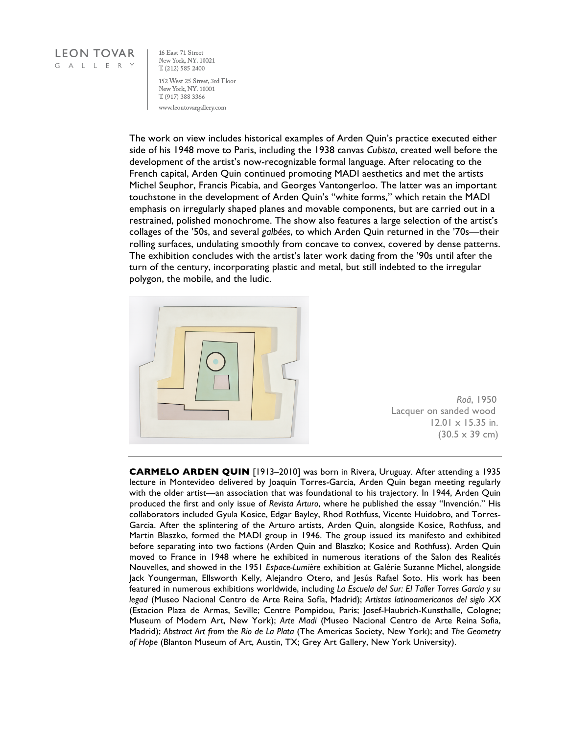## **LEON TOVAR** GALLERY

16 East 71 Street New York, NY. 10021 T. (212) 585 2400 152 West 25 Street, 3rd Floor New York, NY. 10001 T. (917) 388 3366 www.leontovargallery.com

The work on view includes historical examples of Arden Quin's practice executed either side of his 1948 move to Paris, including the 1938 canvas *Cubista*, created well before the development of the artist's now-recognizable formal language. After relocating to the French capital, Arden Quin continued promoting MADI aesthetics and met the artists Michel Seuphor, Francis Picabia, and Georges Vantongerloo. The latter was an important touchstone in the development of Arden Quin's "white forms," which retain the MADI emphasis on irregularly shaped planes and movable components, but are carried out in a restrained, polished monochrome. The show also features a large selection of the artist's collages of the '50s, and several *galbées*, to which Arden Quin returned in the '70s—their rolling surfaces, undulating smoothly from concave to convex, covered by dense patterns. The exhibition concludes with the artist's later work dating from the '90s until after the turn of the century, incorporating plastic and metal, but still indebted to the irregular polygon, the mobile, and the ludic.



 *Roâ*, 1950 Lacquer on sanded wood 12.01 x 15.35 in.  $(30.5 \times 39 \text{ cm})$ 

**CARMELO ARDEN QUIN** [1913–2010] was born in Rivera, Uruguay. After attending a 1935 lecture in Montevideo delivered by Joaquin Torres-Garcia, Arden Quin began meeting regularly with the older artist—an association that was foundational to his trajectory. In 1944, Arden Quin produced the first and only issue of *Revista Arturo*, where he published the essay "Invención." His collaborators included Gyula Kosice, Edgar Bayley, Rhod Rothfuss, Vicente Huidobro, and Torres-Garcia. After the splintering of the Arturo artists, Arden Quin, alongside Kosice, Rothfuss, and Martin Blaszko, formed the MADI group in 1946. The group issued its manifesto and exhibited before separating into two factions (Arden Quin and Blaszko; Kosice and Rothfuss). Arden Quin moved to France in 1948 where he exhibited in numerous iterations of the Salon des Realités Nouvelles, and showed in the 1951 *Espace-Lumière* exhibition at Galérie Suzanne Michel, alongside Jack Youngerman, Ellsworth Kelly, Alejandro Otero, and Jesús Rafael Soto. His work has been featured in numerous exhibitions worldwide, including *La Escuela del Sur: El Taller Torres García y su legad* (Museo Nacional Centro de Arte Reina Sofía, Madrid); *Artistas latinoamericanos del siglo XX* (Estacion Plaza de Armas, Seville; Centre Pompidou, Paris; Josef-Haubrich-Kunsthalle, Cologne; Museum of Modern Art, New York); *Arte Madi* (Museo Nacional Centro de Arte Reina Sofia, Madrid); *Abstract Art from the Rio de La Plata* (The Americas Society, New York); and *The Geometry of Hope* (Blanton Museum of Art, Austin, TX; Grey Art Gallery, New York University).